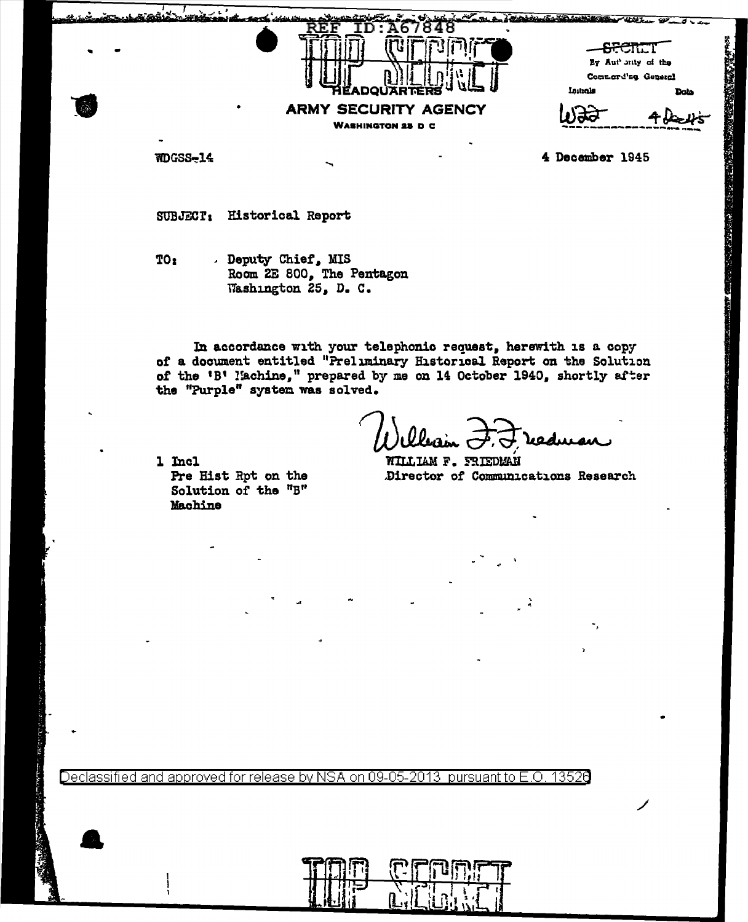| - - |                                                                                          | <b>ARCTICT</b><br>By Aut' only of the<br>Commerd'ng General |      |
|-----|------------------------------------------------------------------------------------------|-------------------------------------------------------------|------|
|     | <b>JARTERS</b><br>RÉADOL<br><b>ARMY SECURITY AGENCY</b><br>٠<br><b>WASHINGTON 25 D C</b> | Initials                                                    | Data |

NDGSS-14

4 December 1945

**RACE CREWS BASE OF** 

SUBJECT: Historical Report

. Deputy Chief, MIS TO: Room 2E 800, The Pentagon Washington 25, D. C.

In accordance with your telephonic request, herewith is a copy of a document entitled "Preliminary Historical Report on the Solution of the 'B' Nachine," prepared by me on 14 October 1940, shortly after the "Purple" system was solved.

eaduran

1 Incl Pre Hist Rpt on the Solution of the "B" Machine

**NILLIAM F. FRIEDMAN** Director of Communications Research

Declassified and approved for release by NSA on 09-05-2013 pursuant to E.O. 13526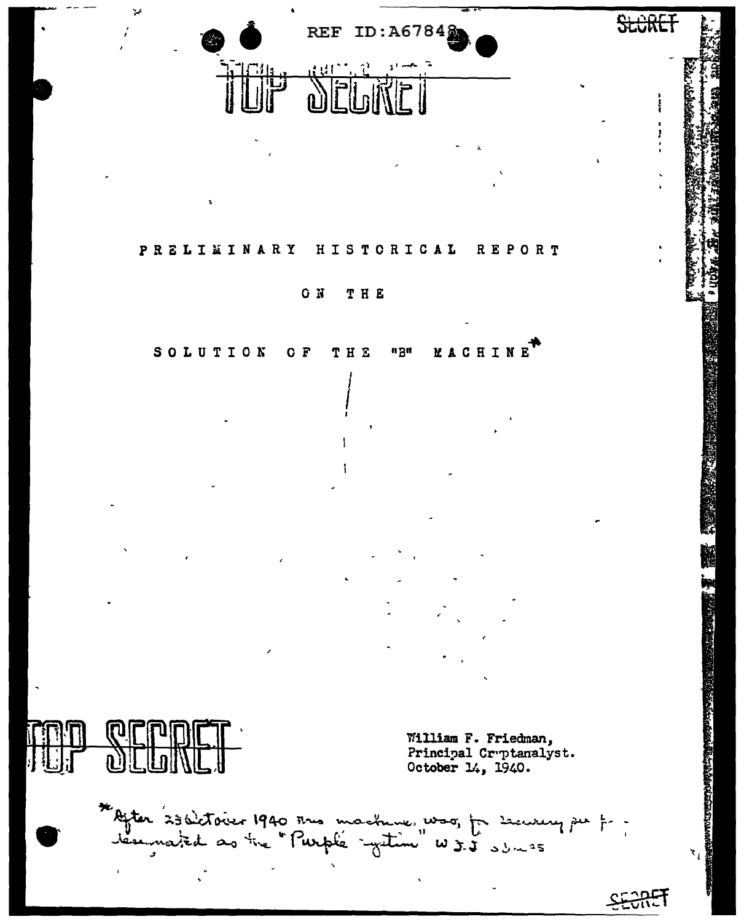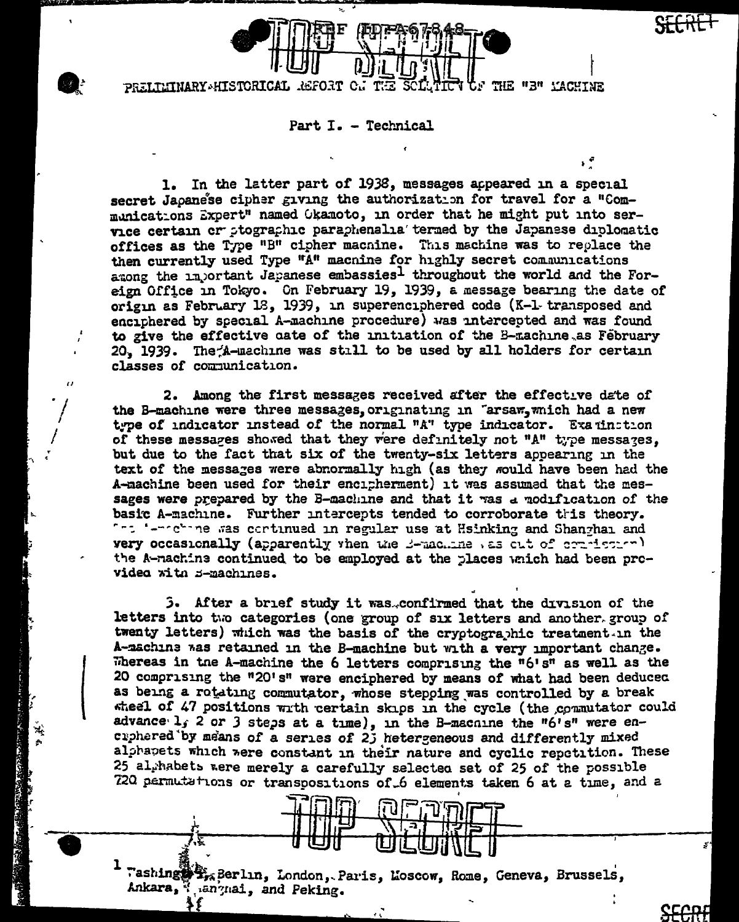

PRELIEINARY HISTORICAL **REPORT** THE "3" YACHINE

Part I. - Technical

In the latter part of 1938, messages appeared in a special 1. secret Japanese cipher giving the authorization for travel for a "Communications Expert" named Okamoto, in order that he might put into service certain or ptographic paraphenalia' termed by the Japanese diplomatic offices as the Type "B" cipher macnine. This machine was to replace the then currently used Type "A" macnine for highly secret communications among the injortant Japanese embassies1 throughout the world and the Foreign Office in Tokyo. On February 19, 1939, a message bearing the date of origin as February 18, 1939, in superenciphered code (K-1 transposed and enciphered by special A-machine procedure) was intercepted and was found to give the effective cate of the initiation of the B-machine as February 20, 1939. The A-machine was still to be used by all holders for certain classes of communication.

2. Among the first messages received after the effective date of the B-machine were three messages, originating in "arsaw, which had a new type of indicator instead of the normal "A" type indicator. Examination of these messares showed that they were definitely not "A" type messages. but due to the fact that six of the twenty-six letters appearing in the text of the messages were abnormally high (as they would have been had the A-machine been used for their encipherment) it was assumed that the messages were prepared by the B-machine and that it was a modification of the basic A-machine. Further intercepts tended to corroborate this theory. "": '-"chine was continued in regular use at Hsinking and Shanghai and very occasionally (apparently vhen the B-machine as out of commission) the A-machine continued to be employed at the places which had been prcvidea with B-machines.

3. After a brief study it was.confirmed that the division of the letters into the categories (one group of six letters and another group of twenty letters) which was the basis of the cryptographic treatment. In the A-machine was retained in the B-machine but with a very important change. Whereas in the A-machine the 6 letters comprising the  $n6'sn$  as well as the 20 comprising the "20's" were enciphered by means of what had been deduced as being a rotating commutator, whose stepping was controlled by a break wheel of 47 positions with certain skips in the cycle (the commutator could advance l, 2 or 3 steps at a time), in the B-machine the "6's" were encuphered by means of a series of 2j hetergeneous and differently mixed alphapets which were constant in their nature and cyclic repetition. These 25 al habets were merely a carefully selected set of 25 of the possible 720 permutations or transpositions of 6 elements taken 6 at a time, and a

Washing StraBerlin, London, Paris, Loscow, Rome, Geneva, Brussels, Ankara, "anynai, and Peking.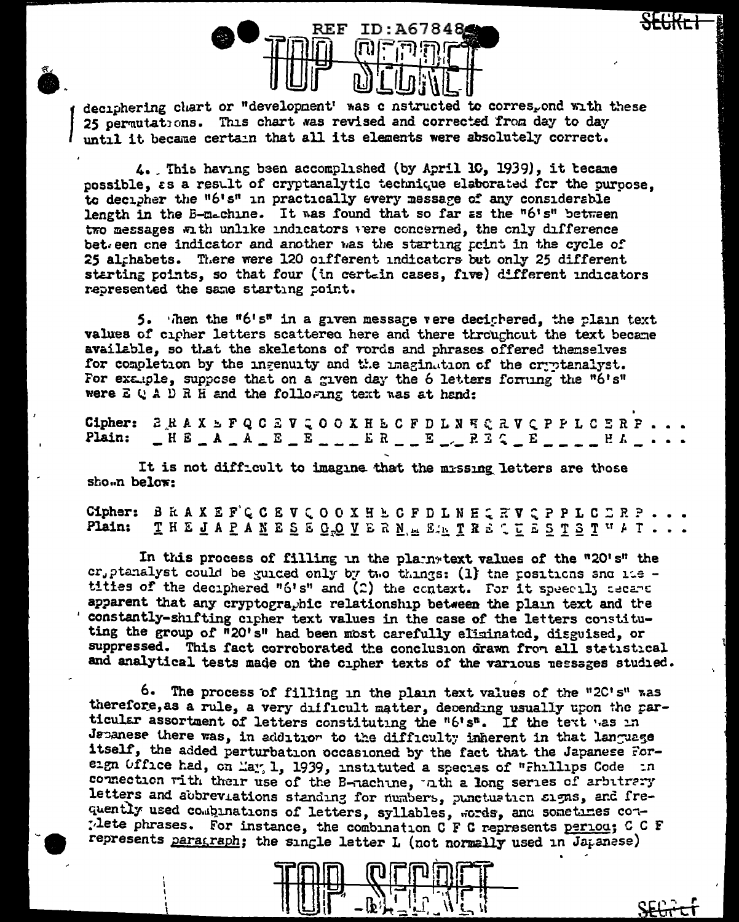

deciphering chart or "development' was c nstructed to corres, ond with these 25 permutations. This chart was revised and corrected from day to day until it became certain that all its elements were absolutely correct.

4. This having been accomplished (by April 10, 1939), it tecame possible, as a result of cryptanalytic technique elaborated for the puroose. to decipher the "6's" in practically every message of any considerable length in the E-machine. It was found that so far as the "6's" between two messages with unlike indicators vere concerned, the only difference bet een one indicator and another was the starting point in the cycle of 25 alghabets. There were 120 onfferent undicators but only 25 different starting points, so that four (in certain cases, five) different indicators represented the same starting point.

5. Then the "6's" in a given message vere deciphered, the plain text values of cipher letters scattered here and there throughout the text became available, so that the skeletons of vords and phrases offered themselves for completion by the ingenuity and the imagination of the cryptanalyst. For example, suppose that on a given day the 6 letters forming the "6's" were  $E \cup A \cup R$  H and the following text was at hand:

Cipher: *B* R A X E P Q C Z V Q O O X H E C F D L N E C R V Q P P L C E R P  $\begin{array}{l} \begin{array}{l} \end{array} \begin{array}{l} \begin{array}{l} \end{array} \begin{array}{l} \end{array} \begin{array}{l} \end{array} \begin{array}{l} \end{array} \begin{array}{l} \end{array} \begin{array}{l} \end{array} \begin{array}{l} \end{array} \begin{array}{l} \end{array} \begin{array}{l} \end{array} \begin{array}{l} \end{array} \begin{array}{l} \end{array} \begin{array}{l} \end{array} \begin{array}{l} \end{array} \begin{array}{l} \end{array} \begin{array}{l} \end{array} \begin{array}{l} \end{array} \begin$ Plain:

It is not difficult to imagine that the missing letters are those shown below:

Cipher: BRAXEFCCEVCOOXHECFDLNHQRVQPPLCDRP. Plain: THEJAPANESEGOVERN. EATRECEESTSTUAT..

In this process of filling in the plainstext values of the "20's" the cr, ptanalyst could be guided only by two things: (1) the positions sno its titles of the deciphered "6's" and (2) the context. For it speecily cecane apparent that any cryptographic relationship between the plain text and the constantly-shifting cipher text values in the case of the letters constituting the group of "20's" had been most carefully eliminated, disguised, or suppressed. This fact corroborated the conclusion drawn from all statistical and analytical tests made on the cipher texts of the various nessages studied.

6. The process of filling in the plain text values of the "2C's" was therefore, as a rule, a very difficult matter, depending usually upon the particular assortment of letters constituting the "6's". If the text was in Japanese there was, in addition to the difficulty inherent in that language itself, the added perturbation occasioned by the fact that the Japanese Foreign Office had, on May, 1, 1939, instituted a species of "Fhillips Code in connection with their use of the B-nachine, ath a long series of arbitrary letters and abbreviations standing for numbers, punctuation signs, and frequently used combinations of letters, syllables, words, and sometimes con-The phrases. For instance, the combination C F C represents period; C C F represents paragraph; the single letter L (not normally used in Japanese)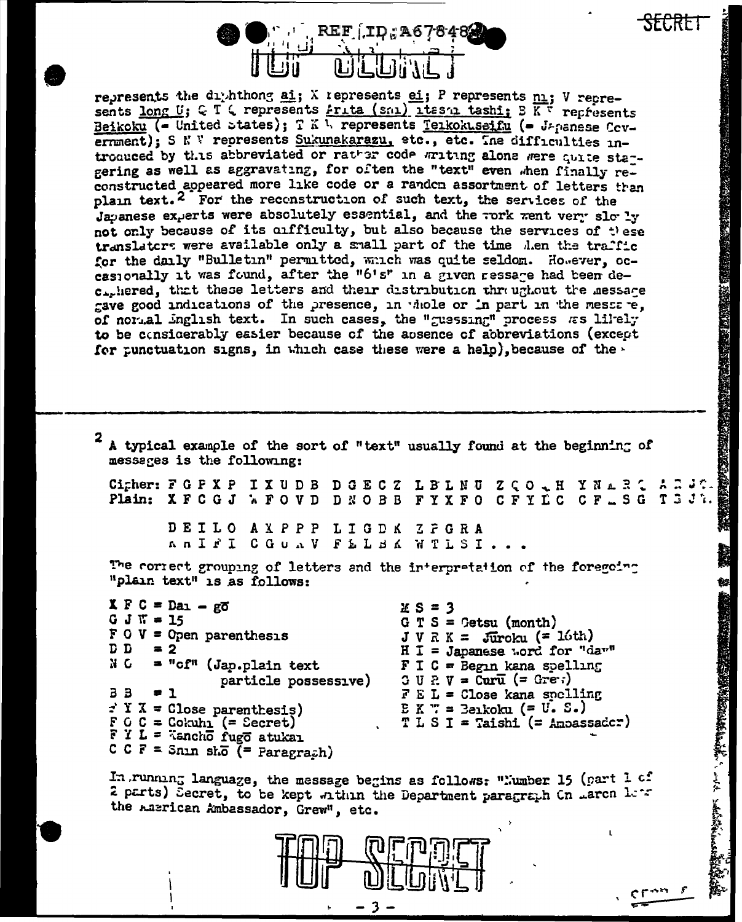

represents the dimit hong ai; X represents ei; P represents ni; V represents long U; C T & represents Frita (sml) lies tashi; B K + represents Beikoku (- United states); T K 1. represents Terkokuseifu (- Japanese Covernment): S N W represents Sukunakarazu, etc., etc. Ine difficulties introqueed by this abbreviated or rather code writing alone were quite sta-gering as well as aggravating, for often the "text" even when finally reconstructed appeared more like code or a random assortment of letters than plain text.<sup>2</sup> For the reconstruction of such text, the services of the Japanese experts were absolutely essential, and the rork went very slowly not only because of its cufficulty, but also because the services of these translators were available only a small part of the time then the traffic for the daily "Bulletin" permitted, which was quite seldom. However, occasionally it was found, after the "6's" in a given ressare had been dec., hered, that these letters and their distribution threuntout the messare gave good indications of the presence, in whole or in part in the messare. of normal inglish text. In such cases, the "guessing" process as likely to be considerably easier because of the absence of abbreviations (except for punctuation signs, in which case these were a help), because of the  $\cdot$ 

**化双次系数对型交通转收器数字的转移式 硫酸酸盐或酸性硫酸盐** 

茶物糖尿酸

**NEW YORK STATES AND RESIDENCE OF A STATES OF A STATES OF A STATES OF A STATES OF A STATES OF A STATES OF A STATES OF A STATES OF A STATES OF A STATES OF A STATES OF A STATES OF A STATES OF A STATES OF A STATES OF A STATES** 

2 A typical example of the sort of "text" usually found at the beginning of messages is the following: Cicher: FGPXP IXUDB DGECZ LBLNU ZCO & H YNARC AR Plain: XFCGJ WFOVD DNOBB FYXFO CFYLC CF\_SG T3J7. DEILO AXPPP LIGDK ZFGRA ANIFI COUNV FELBA WTLSI. The correct grouping of letters and the interpretation of the foregoing "plain text" is as follows:  $X F C = Da_1 - g\overline{o}$  $2S = 3$  $G J$   $W = 15$  $G T S = \text{Cetsu (month)}$  $F \circ V =$  Open parenthesis  $J V R K = Juroku (= 16th)$ D D  $= 2$  $H I = Japanese word for "dav"$ NG = "cf" (Jap.plain text  $F I C = Begn$  kana spelling  $G \cup R \vee = \text{Carr}$  (= Green) particle possessive)  $3B$  $F E L = Close kana spelling$  $= 1$  $\div$  Y X = Close parenthesis)  $E K T =$  Beikoku (= U.S.)  $F G G = Cokuhn ( = Secret)$ <br> $F Y L = Tancho f ugc atukar$  $T L S I = Taishi (= Anoassader)$ C C F = Snin sho  $($  = Paragrach)

In running language, the message begins as follows: "Number 15 (part 1 of 2 parts) Secret, to be kept within the Department paragraph Cn Larch lets the Lasrican Ambassador, Grew", etc.



3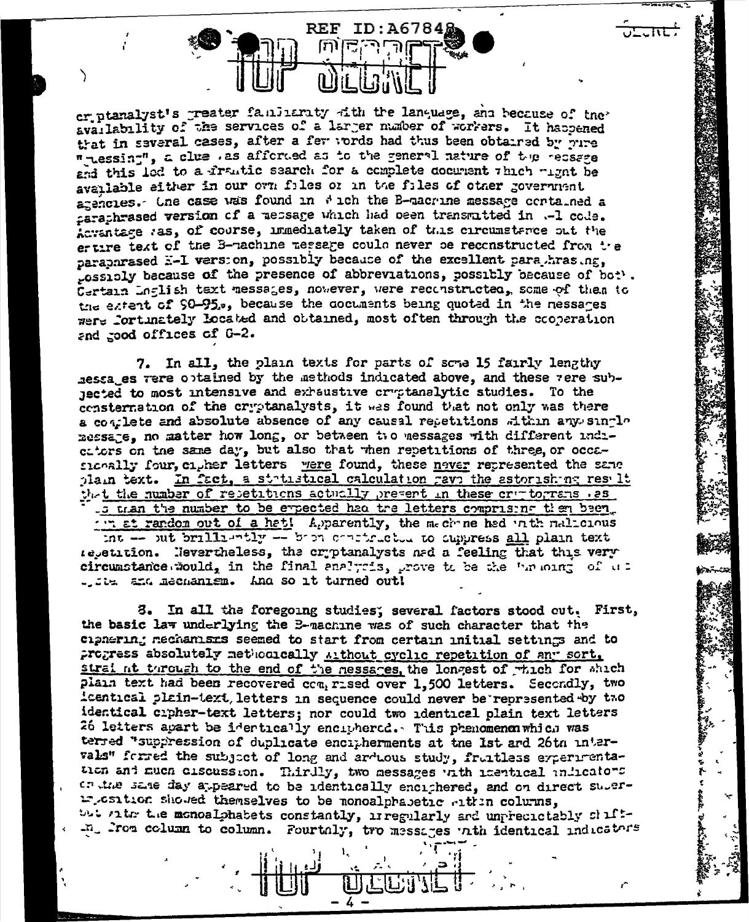**REF** ID:A6784§ ί٣

er ptanalyst's greater familiarity with the language, and because of the availability of the services of a larger number of workers. It haspened that in several cases, after a fer words had thus been obtained by pure " Lessing", a clue . as afforded as to the general nature of the recsage and this lod to a frantic search for a complete document thich wight be available either in our own files or in the files of other government agencies. One case was found in # ich the B-macrine message contained a caraphrased version of a message which had been transmitted in .- 1 code. Acrantage ras, of course, immediately taken of this circumstance out the ertire text of the B-machine message could never be reconstructed from the paraparased E-I version, possibly because of the excellent para hrasing. casibly because of the presence of abbreviations, possibly because of bot . Certain Inglish text messages, nowever, were reconstructed, some of them to the extent of 90-95., because the cocuments being quoted in the nessares were fortunately located and obtained, most often through the cooperation and good offices of G-2.

7. In all, the plain texts for parts of sche 15 fairly lengthy ressages vere optained by the methods indicated above, and these vere subnected to most intensive and exhaustive cryptanalytic studies. To the consternation of the cryptanalysts, it was found that not only was there a complete and absolute absence of any causal repetitions within any single message, no matter how long, or between two messages with different indicators on the same day, but also that when repetitions of three, or occasionally four, cigher letters were found, these never represented the same plain text. In fact, a statustical calculation gave the astorishing result that the number of resetitions actually present in these criptograms . 25 .s tran the number to be expected had tre letters comprising then been. ... at random out of a hat! Apparently, the mechane had in the mallonus int -- sut brilliantly -- bien continuation to suppress all plain text repetition. Nevertheless, the cryptanalysts and a feeling that this very circumstance would, in the final analysis, grove to be the "muoing of us

tive and mechanism. And so it turned out!

3. In all the foregoing studies; several factors stood cut. First, the basic law underlying the B-machine was of such character that the cipnering mechanisms seemed to start from certain initial settings and to progress absolutely methodically Althout cyclic repetition of any sort. straint turough to the end of the nessages, the longest of which for which plain text had been recovered  $cc_1$  rised over 1,500 letters. Secondly, two icentical plain-text, letters in sequence could never be represented by two identical crpher-text letters; nor could two identical plain text letters 26 letters apart be identically enciphered. This phenomenon which was terred "suppression of duplicate encipherments at the 1st and 26th intervals" forred the subject of long and arduous study, fruitless experimentation and much ciscussion. Thirdly, two messages with inertical undicators or the same day appeared to be identically enciphered, and on direct superwrosition showed themselves to be monoalphabetic within columns, but ritr the monoalphabets constantly, irregularly and unpredictably chilt--n. From column to column. Fourtaly, tro messages with identical indicators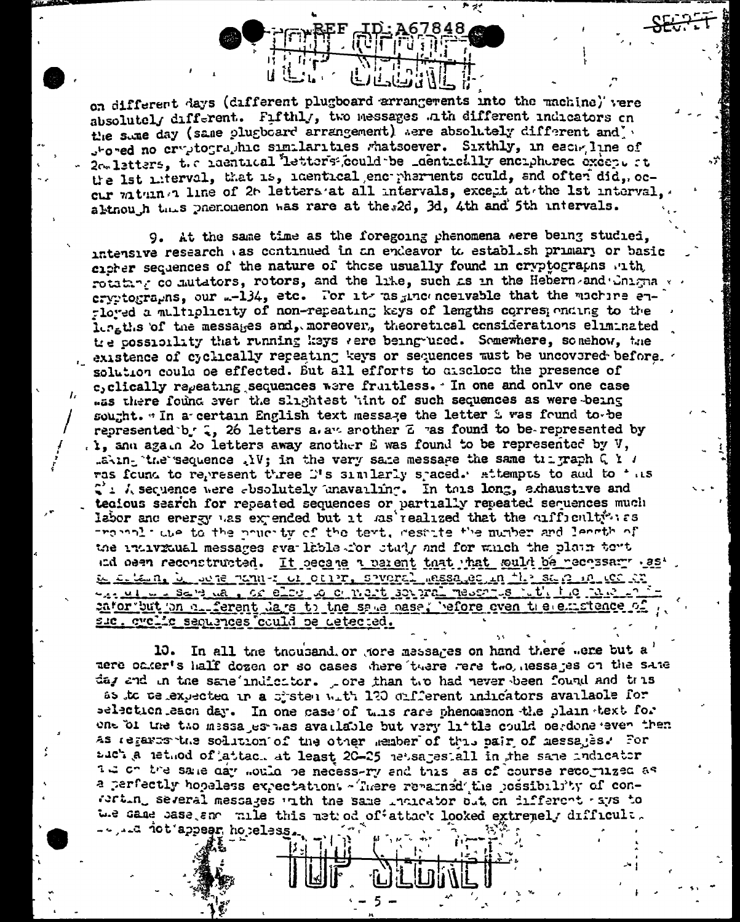on different days (different plugboard arrangements into the machine) vere absolutely different. Fifthly, two messages ath different indicators on the state day (same plugboard arrangement) were absolutely different and stored no cryptographic similarities whatsoever. Sixthly, in each line of 2c. latters, the naentical letters could be \_dentically enciphered execpt at the 1st miterval, that is, identical encorpherients could, and often did, occur vaturn a line of 2t letters at all intervals, except at the 1st interval, altnouth this phenomenon was rare at the 2d, 3d, 4th and 5th intervals.

9. At the same time as the foregoing phenomena were being studied. intensive research as continued in an endeavor to establish primary or basic cicker sequences of the nature of those usually found in cryptographs with rotatan co mutators, rotors, and the like, such as in the Hebern and Colmia ervetographs, our .- 134, etc. For its as inconceivable that the machine en--loved a multiplicity of non-repeating keys of lengths corresponding to the institute of the messages and, moreover, theoretical considerations eliminated tre cossibility that running keys vere being used. Somewhere, somehow, the existence of cyclically repeating keys or sequences must be uncovered before. solution could be effected. But all efforts to disclose the presence of c, clically repeating sequences were fruitless. In one and only one case .ss there found ever the slightest 'int of such sequences as were being sought. " In a certain English text message the letter i was found to be represented b. 2, 26 letters a. a. another Z ras found to be-represented by . I, and again 20 letters away another E was found to be represented by V, .aking the sequence . IV; in the very same message the same trigraph  $Q$  is ras found to represent three D's similarly spaced. Attempts to and to this  $\mathcal{C}$ :  $\lambda$  sequence were absolutely unavailing. In this long, akhaustive and tecious search for repeated sequences or partially repeated sequences much labor and energy was expended but it was realized that the cufficulty is the to the prucity of the text, restite the number and length of the individual messages available for study and for which the plain tont and osen reconstructed. It gecans a parent that that sould be pecossary as' Le se le ne le se ne seul de la centre saverel méssage en 11 a se a 10 de de was million - Salve was a criterior of most soveral meson is intitled in Maria cator but on a ferent days to the same pase, before even the emptence of <u>suc, cyclic sequences could be detected.</u>

10. In all the thousand or nore messages on hand there were but a mere oaker's half dozen or so cases there tuere rere two, nessages on the same day and in the same indiction. pore than the had never been found and thus as to telexpected in a cistem with 120 different indicators available for selection each day. In one case of this rare phenomenon the plain text for one of the tho messages has available but very little could berdone even then as regares the solution of the other member of this pair of messages. For add's a nethod of attach at least 20-25 netsages all in the same indicator in on the same day mother be necess-ry and this as of course recognized as a perfectly hopeless expectation: - There remained the possibility of con-With several messages with the same indicator out on different ays to We same base and mile this netured offattack looked extremely difficult. - ... d ict appear hopeless.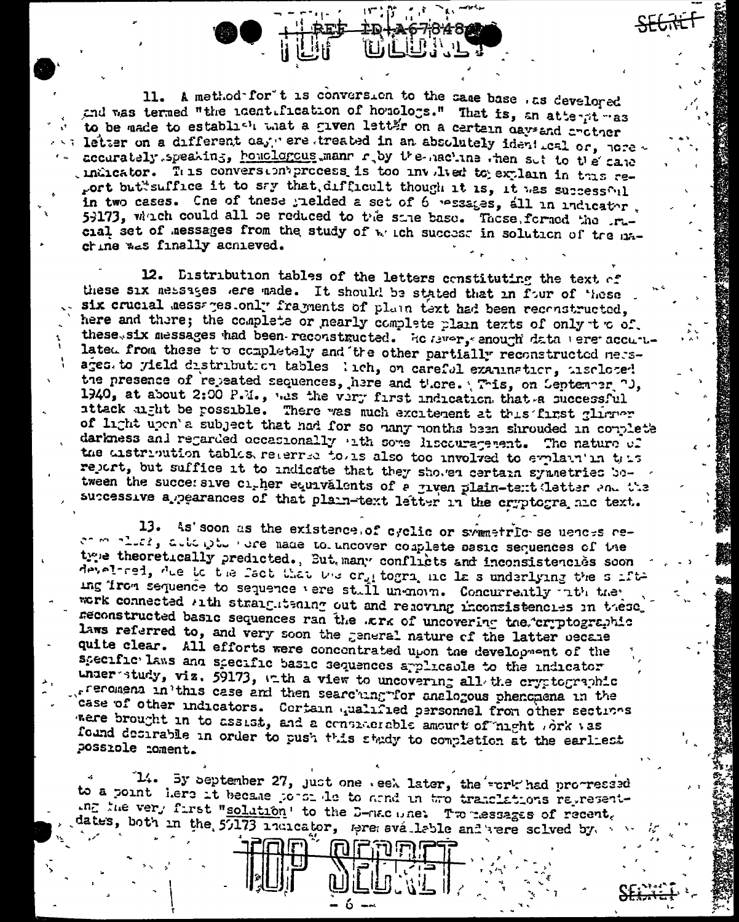11. A method for t is conversion to the same base . as develored and was termed "the identification of homologs." That is, an atternt was to be made to establish what a given letter on a certain days and critical letter on a different day ere treated in an absolutely ident cal or, nore accurately speaking, honologous mann r by the nachine then sut to the cane indicator. This conversion process is too involved to explain in this report but suffice it to say that, difficult though it is, it was successful in two cases. Cne of these yielded a set of 6 pessages, all in indicator. 59173, which could all be reduced to the same base. These formed the rucial set of messages from the study of which success in solution of tre machine was finally achieved.

12. Distribution tables of the letters constituting the text of these six nessages ere made. It should be stated that in four of these six crucial messages only fragments of plain text had been reconstructed, here and there; the complete or nearly complete plain texts of only to of. these six messages had been reconstructed. He merry anough data vere accurulated from these to completely and the other partially reconstructed nessages to yield distribution tables lich, on careful examination, insclosed the presence of repeated sequences, here and there. This, on September 7J, 1940, at about 2:00 P.M., was the very first indication that a successful attack uight be possible. There was much excitement at this first glimmer of light upon's subject that had for so hany months been shrouded in couplet's darkness and regarded occasionally ath some liscouragement. The nature of the distribution tables retermed to also too involved to explain in this report, but suffice it to indicate that they showed certain symmetries between the succe: sive cigher equivalents of a jiven plain-tent letter and the successive a pearances of that plain-text letter in the cryptogra ale text.

13. As' soon as the existence of cyclic or swametric se uences reat more that when the nade to uncover couplete assic sequences of the true theoretically predicted., But many conflicts and inconsistencies soon develored, the id the fact that the crit togra nic la s underlying the suffiing iron sequence to sequence vere still unenorm. Concurrently rith the work connected with straightening out and repoving inconsistencies in these. reconstructed basic sequences ran the .Erk of uncovering the cryptographic laws referred to, and very soon the general nature of the latter oecane quite clear. All efforts were concontrated upon the development of the specific laws and specific basic sequences applicable to the indicator under study, viz. 59173, at the a view to uncovering all the cryptographic freromena in this case and then searching for analogous phenomena in the case of other indicators. Cortain qualified personnel from other sections were brought in to assist, and a considerable amount of night ork vas found desirable in order to push this study to completion at the earliest possible coment.

14. By september 27, just one . eek later, the rork had procressed to a point here it became portraite to armd in two translations representthe very first "solution' to the D-nacune: Tweessages of recent. dates, both in the 57173 indicator, meremovaleble and term solved by.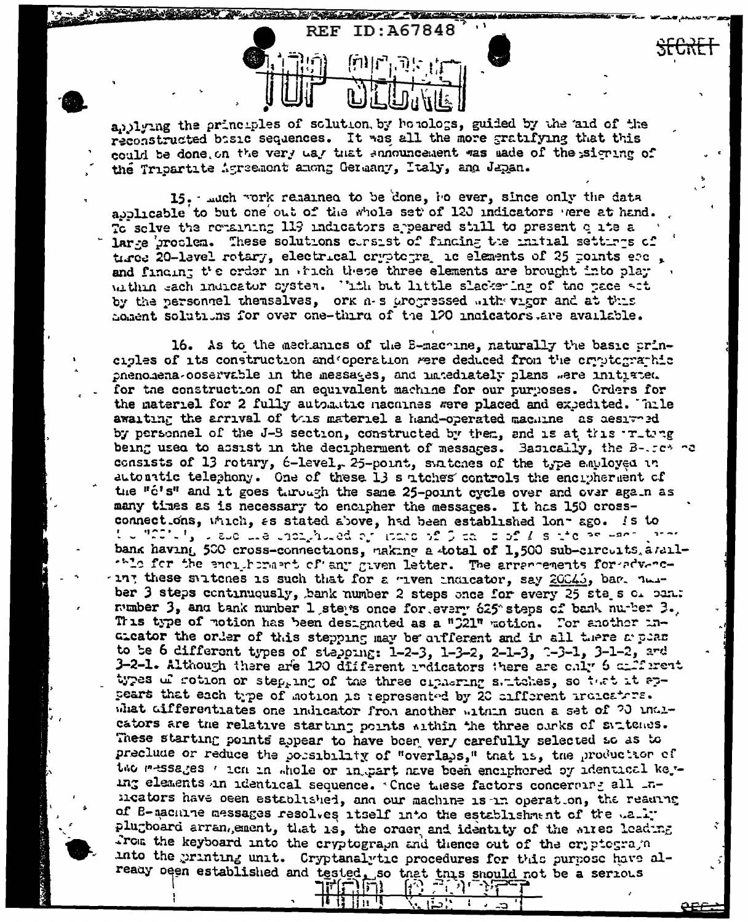andlying the principles of solution, by bonologs, guided by the and of the reconstructed bisic sequences. It was all the more gratifying that this could be done on the very way that announcement was made of the signing of the Tribartite Agreement among Germany, Italy, and Japan.

**REF** 

ID:A67848

15. . ..uch vork remained to be done, ho ever, since only the data abblicable to but one out of the whole set of 120 indicators were at hand. To solve the remaining 119 indicators appeared still to present oute a large groulen. These solutions corsist of finding the initial settires of tires 20-lavel rotary, electrical cryptogragic elements of 25 points erc. and finding the order in which these three elements are brought into play within each indicator system. Tith but little slackering of the pace act by the personnel themselves, ork n-s arogressed with vigor and at this homent solutions for over one-third of the 120 indicators are available.

16. As to the mechanics of the E-machine, naturally the basic principles of its construction and operation were deduced from the cryptographic phenomena-ooservable in the messages, and imiediately plans were initiated. for the construction of an equivalent machine for our purposes. Orders for the material for 2 fully automatic nachines were placed and exiedited. Thile awaiting the arrival of this materiel a hand-operated machine as aesiveed by personnel of the J-B section, constructed by them, and is at this initing being used to assist in the decipherment of messages. Basically, the B-.cc ca consists of 13 rotary, 6-level, 25-point, suitcnes of the type employed in autonatic telephony. One of these 13 s atches controls the encryherment of the "c's" and it goes through the same 25-point cycle over and over again as many times as is necessary to encipher the messages. It has 150 crossconnections, which, as stated above, had been established lon-ago. Is to the "2014", is such that choing is advant to more of C call or of Z is not or seem. bank having 500 cross-connections, naking a total of 1,500 sub-circuits.andlthle for the enciphorment of any given letter. The arrencements for advance ting these suitches is such that for a miven indicator, say 20045, bar. near ber 3 steps continuously, bank number 2 steps ance for every 25 steps of pan. number 3, and tank number 1 steps once for every 625 steps of bank number 3. This type of notion has been designated as a "C21" motion. For another inatcator the order of this stepping may be arfferent and in all there a pear to be 6 different types of stepping: 1-2-3, 1-3-2, 2-1-3, 2-3-1, 3-1-2, and 3-2-1. Although there are 120 different redicators there are chly 6 criferent types of rotion or step, ing of the three ciphering saitches, so that it appears that each type of motion is represented by 20 cifferent indicators. what differentiates one indicator from another within such a set of 20 indicators are the relative starting points within the three ourks of suptemes. These starting points appear to have boen very carefully selected so as to preclude or reduce the porsibility of "overlaps," that is, the production of the messages ' ion in whole or in part nave been enciphered of identical keying elements in identical sequence. Cnce these factors concerning all inmicators have oeen established, and our machine is in operation, the reading of B-machine messages resolves itself into the establishment of the wally plugboard arrangement, that is, the order and identity of the aires leading From the keyboard into the cryptograph and thence out of the cryptograph into the printing unit. Cryptanalytic procedures for this purpose have already been established and tested, so that this should not be a serious

**וְרוֹיְרְדְ** 

<u>le 13 Ha T</u>

地外游

-11

ا استا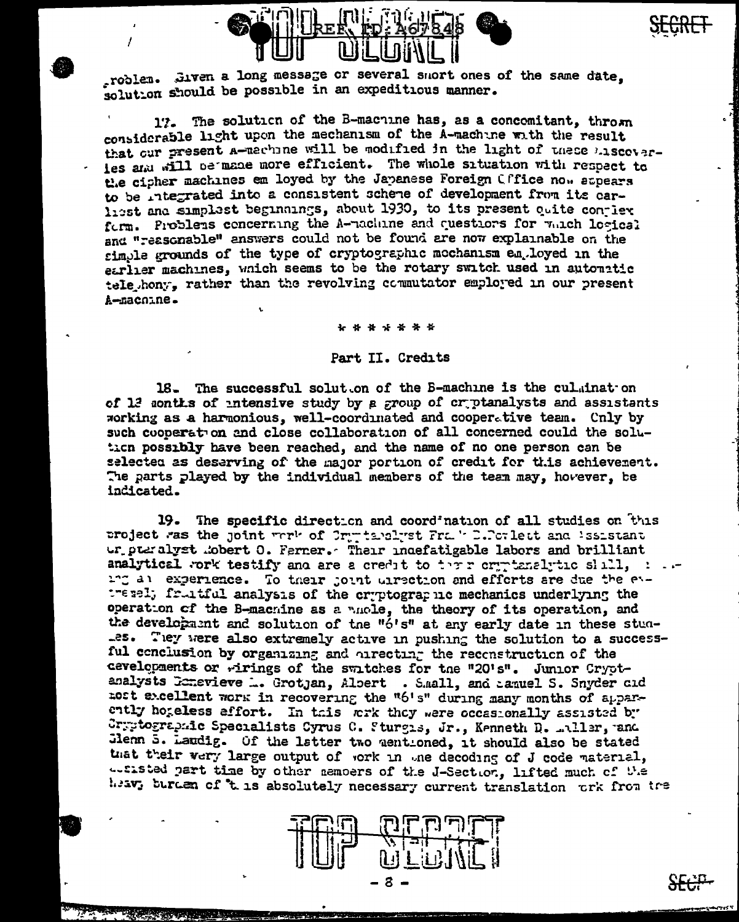

roblem. Jiven a long message or several snort ones of the same date. solution should be possible in an expeditious manner.

17. The solution of the B-machine has, as a concomitant, thrown considerable light upon the mechanism of the A-machine with the result that our present a-machine will be modified in the light of these hiscoverles and will be made more efficient. The whole situation with respect to the cipher machines em loyed by the Japanese Foreign Cffice now appears to be integrated into a consistent scheme of development from its carhest and simplest beginnings, about 1930, to its present quite conjier form. Problems concerning the A-machine and questions for which losical and "reasonable" answers could not be found are now explainable on the simple grounds of the type of cryptographic mechanism employed in the earlier machines, which seems to be the rotary switch used in autouritic tele hony, rather than the revolving commutator employed in our present A-macnine.

\* \* \* \* \* \*

## Part II. Credits

18. The successful solut on of the B-machine is the culminat on of 12 sonths of intensive study by a group of criptanalysts and assistants working as a harmonious, well-coordinated and cooperative team. Cnly by such cooperation and close collaboration of all concerned could the solution possibly have been reached, and the name of no one person can be selected as deserving of the major portion of credit for this achievement. The parts played by the individual members of the team may, hovever, be indicated.

19. The specific direction and coordination of all studies on this project was the joint work of Orgensland Frake D.Porlett and Issistant ur puralyst mobert 0. Ferner. Their indefatigable labors and brilliant analytical work testify and are a credit to there organized the shall, in an ing all experience. To their joint uirection and efforts are due the evtressl; fruitful analysis of the cryptographic mechanics underlying the operation of the B-machine as a nuole, the theory of its operation, and the development and solution of the "6's" at any early date in these stun-.es. They were also extremely active in pushing the solution to a successful conclusion by organizing and oirecting the reconstruction of the cevelopments or wirings of the switches for the "20's". Junior Cryptanalysts Conevieve ... Grotjan, Albert . S.mall, and agauel S. Snyder cid nost excellent work in recovering the "6's" during many months of apparently hogeless effort. In this work they were occasionally assisted by Cryptographic Specialists Cyrus C. Sturgis, Jr., Kenneth D. miller, and Jienn 5. Laudig. Of the latter two mentioned, it should also be stated that their very large output of work in the decoding of J code material, actisted part time by other nemoers of the J-Section, lifted much of the heav, burden of 't is absolutely necessary current translation ork from the



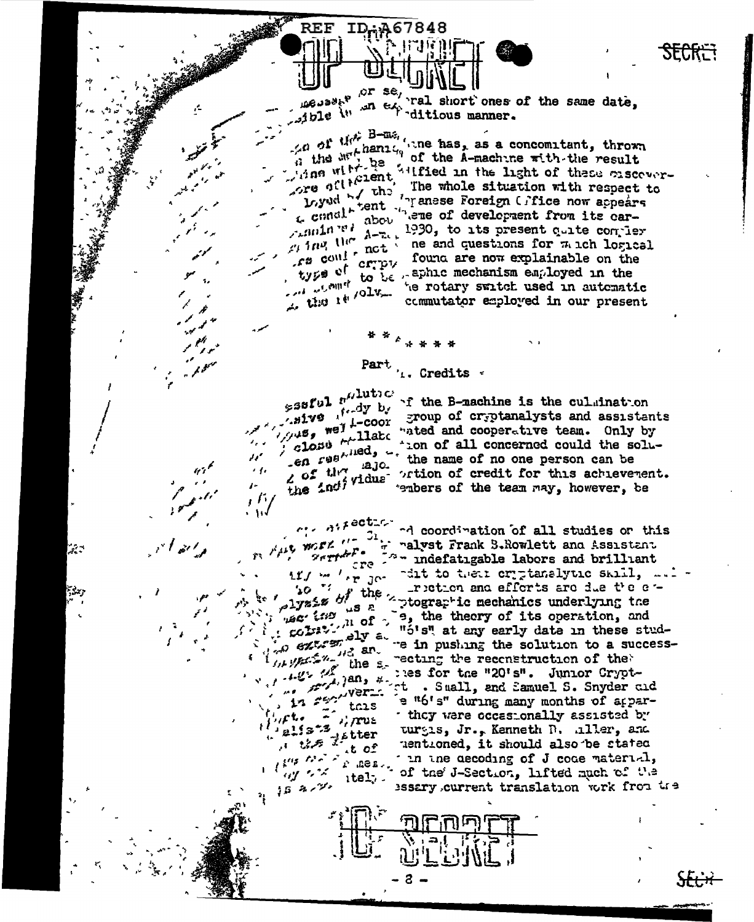$\frac{1}{2}$  or se,  $\frac{1}{2}$  short ones of the same date,  $\mathcal{L}_{\text{c},\text{d}}^{\text{deupark}}$ 

 $\angle a$  of the B-ms, when has, as a concomitant, thrown a  $\sigma$  is the hanism of the A-machine with the result A the Willie I of the A-machine with the result<br>Time with be a server-<br>The contribution of the server-Loyed Lent in the conduction with respect to the conduction of the conduction of the conduction of  $\mu$  and  $\mu$  and  $\mu$  and  $\mu$  and  $\mu$  and  $\mu$  and  $\mu$  and  $\mu$  and  $\mu$  and  $\mu$  and  $\mu$  and  $\mu$  and  $\mu$  and  $\mu$   $f^2$  could crept found are now explainable on the type of to be aphacemechanism endows in type of to be sphile mechanism employed in the he rotary switch used in automatic the view of the commutator employed in our present

**SECRET** 

Part  $\frac{1}{4}$ . Credits  $\frac{1}{4}$ 

 $538$ ful  $r^{i/\text{lutoc}}$ sive foody by  $\mathcal{F}_{\mathcal{F}}$  , and  $\mathcal{U}'$  $205$  the  $120$  $\rightarrow$   $\prime$  $\boldsymbol{P}$  $\mu$  fin

 $\mu_{\mu\nu}$  were  $\mu = 2i$ 

 $20 - 20$ 

(法)/紀念/2, 112, an.

 $\mathbb{Z}^*$ alists "/rus

the line of the second

 $\lim_{k\to\infty} \left\| \mathcal{L}(\mathbf{z}) \right\|^2 \leq \frac{1}{\sqrt{2}} \left\| \mathbf{O} \right\|^2$ 

 $58.87$ 

tais

 $itel$ .

 $\mathbf{a}$   $\mathbf{a}$ 

 $1.2 - 12$ 

 $2$  of  $t$  of  $F$   $\bullet$ 

• \≀√

د بي

**REF** 

ID.A67848

if the B-machine is the culmination whive the coor group of cryptanalysts and assistants. gives morphilate "ated and cooperative team. Only by the solu-<br>close fined, then of all concerned could the soluen regards. The name of no one person can be close that the name of no one person can be 2 of the individue ortion of credit for this achievement.<br>the individue embers of the team may, however, be

 $\cdots$  difection of all studies or this malyst Frank S.Rowlett and Assistant the the indefatigable labors and brilliant if / w ' r Jo cit to their criptanalytic skill, ... bo if the riction and efforts are due the e tretton and efforts are due the enplyzz<sub>"</sub> is a prographic mechanics underlying the  $\mu$ s is a prographic mechanics underlying the  $\mu$  is  $\mu$  of  $\mu$ ,  $\sigma$ ,  $\mu$  of  $\mu$ ,  $\sigma$ ,  $\mu$  of  $\sigma$ ,  $\sigma$ ,  $\mu$  of  $\mu$ ,  $\sigma$ ,  $\mu$ ,  $\sigma$ ,  $\mu$ ,  $\sigma$ ,  $\sigma$ ,  $\sigma$ ,  $\sigma$ ,  $\sigma$ ,  $\sigma$ ,  $\sigma$ ,  $\sigma$ ,  $\sigma$ ,  $\sigma$ ,  $\sigma$ ,  $\sigma$ ,  $\sigma$ ,  $\sigma$ ,  $\sigma$ ,  $\sigma$ ,  $\sigma$ ,  $\sigma$ ,  $\sigma$ , these students are in pushing the solution to a successthe streeting the reconstruction of the where the "20's". Junior Crypt.<br>12 28 November 2018, and Samuel S. Snyder cid they were occasionally assisted by turgis, Jr., Kenneth D. aller, and mentioned, it should also be stated the ne decoding of J code material, the world when I is the decoding of J code material, essary current translation work from the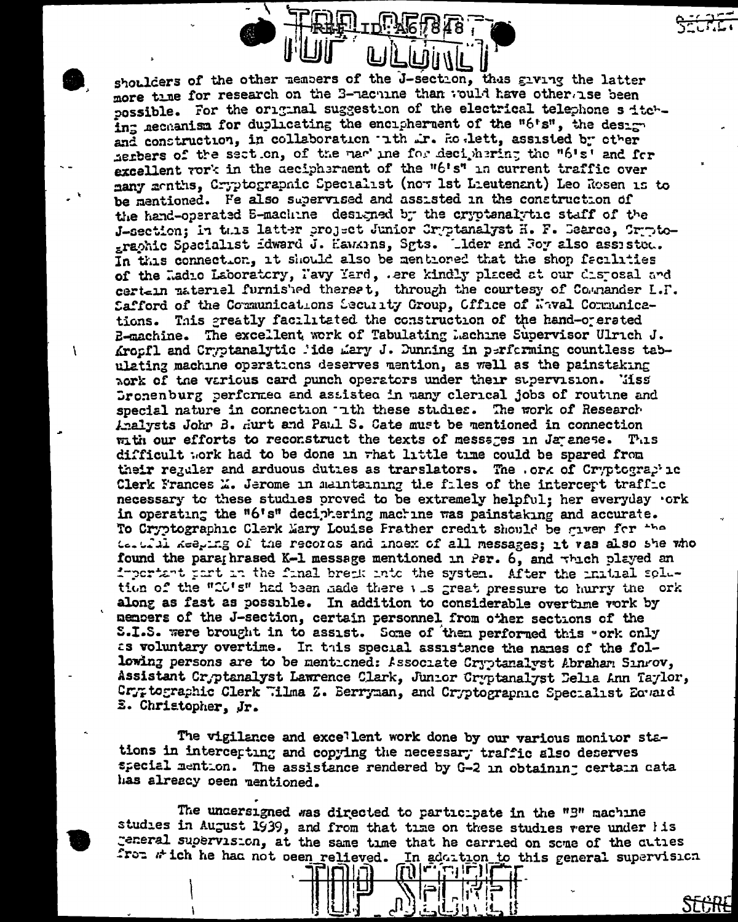shoulders of the other members of the J-section, thus giving the latter more time for research on the 3-nachine than would have otherwise been possible. For the original suggestion of the electrical telephone s itching accuanism for duplicating the encipherment of the "6's", the design and construction, in collaboration ith ir. Ro lett, assisted by other herbers of the section, of the mar' ine for deciphering the "6's" and for excellent vork in the aecipheraent of the "6's" in current traffic over many menths, Cryptographic Specialist (now lst Lieutenant) Leo Rosen is to be mentioned. Fe also supervised and assisted in the construction of the hand-operated E-machine designed by the cryptanalytic staff of the J-section; in this latter project Junior Cryptanalyst H. F. Dearce, Cryptographic Specialist idward J. Hawkins, Sgts. Lider and Foy also assisted. In this connection, it should also be mentioned that the shop facilities of the Ladio Laboratory, Pavy Yard, .ere kindly placed at our disposal and certein material furnished therest, through the courtesy of Counander L.F. Safford of the Communications Security Group, Office of Naval Communications. This greatly facilitated the construction of the hand-orerated E-machine. The excellent work of Tabulating Lachine Supervisor Ulrich J. Krosfl and Cryptanalytic lide Lary J. Dunning in performing countless tabulating machine operations deserves mention, as well as the painstaking nork of the various card punch operators under their supervision. Tiss Gronenburg performed and assisted in many clerical jobs of routine and special nature in connection the these studies. The work of Research Analysts John B. Hurt and Paul S. Cate must be mentioned in connection with our efforts to reconstruct the texts of messages in Japanese. This difficult work had to be done in what little time could be spared from their regular and arduous duties as trarslators. The .ork of Cryptographic Clerk Frances L. Jerome in maintaining the files of the intercept traffic necessary to these studies proved to be extremely helpful; her everyday .ork in operating the "6's" deciphering machine was painstaking and accurate. To Cryptographic Clerk Mary Louise Frather credit should be given for the tertil keeping of the records and index of all messages; it vas also she who found the paraghrased K-1 message mentioned in Par. 6, and thich played an important part in the final break into the system. After the initial solution of the "CO's" had been hade there was great pressure to hurry the ork along as fast as possible. In addition to considerable overtime vork by members of the J-section, certain personnel from other sections of the S.I.S. were brought in to assist. Some of them performed this "ork only as voluntary overtime. In this special assistance the names of the following persons are to be mentioned: Associate Cryptanalyst Abraham Sinrov, Assistant Cryptanalyst Lawrence Clark, Junior Cryptanalyst Delia Ann Taylor, Cryptographic Clerk "ilma Z. Berryman, and Cryptographic Specialist Equaid E. Christopher, Jr.

 $\mathbf{r}$ 

The vigilance and excellent work done by our various monitor stations in intercepting and copying the necessary traffic also deserves special mention. The assistance rendered by G-2 in obtaining certain cata has alreacy oeen mentioned.

The undersigned was directed to participate in the "B" machine studies in August 1939, and from that time on these studies vere under iis general supervision, at the same time that he carried on some of the cuties from which he had not ocen relieved. In addition to this general supervision

وا (صابی